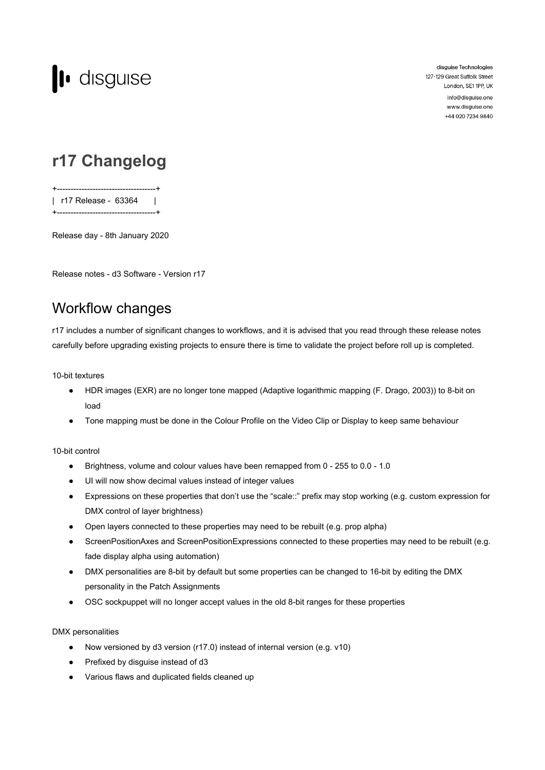

disguise Technologies 127-129 Great Suffolk Street London, SE1 1PP, UK info@disguise.one

www.disguise.one +44 020 7234 9840

## **r17 Changelog**

+------------------------------------+ | r17 Release - 63364 | +------------------------------------+

Release day - 8th January 2020

Release notes - d3 Software - Version r17

## Workflow changes

r17 includes a number of significant changes to workflows, and it is advised that you read through these release notes carefully before upgrading existing projects to ensure there is time to validate the project before roll up is completed.

10-bit textures

- HDR images (EXR) are no longer tone mapped (Adaptive logarithmic mapping (F. Drago, 2003)) to 8-bit on load
- Tone mapping must be done in the Colour Profile on the Video Clip or Display to keep same behaviour

### 10-bit control

- Brightness, volume and colour values have been remapped from 0 255 to 0.0 1.0
- UI will now show decimal values instead of integer values
- Expressions on these properties that don't use the "scale::" prefix may stop working (e.g. custom expression for DMX control of layer brightness)
- Open layers connected to these properties may need to be rebuilt (e.g. prop alpha)
- ScreenPositionAxes and ScreenPositionExpressions connected to these properties may need to be rebuilt (e.g. fade display alpha using automation)
- DMX personalities are 8-bit by default but some properties can be changed to 16-bit by editing the DMX personality in the Patch Assignments
- OSC sockpuppet will no longer accept values in the old 8-bit ranges for these properties

### DMX personalities

- Now versioned by d3 version (r17.0) instead of internal version (e.g. v10)
- Prefixed by disguise instead of d3
- Various flaws and duplicated fields cleaned up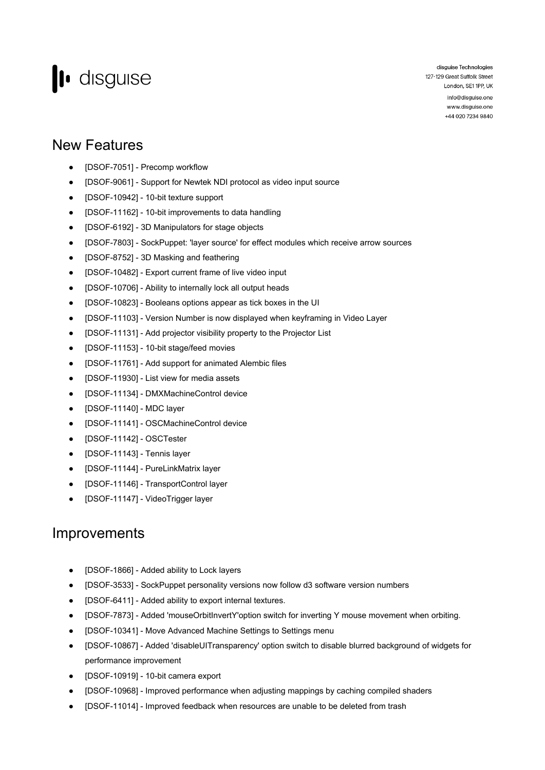# lo disguise

disguise Technologies 127-129 Great Suffolk Street London, SE1 1PP, UK info@disguise.one

www.disguise.one +44 020 7234 9840

### New Features

- [DSOF-7051] Precomp workflow
- [DSOF-9061] Support for Newtek NDI protocol as video input source
- [DSOF-10942] 10-bit texture support
- [DSOF-11162] 10-bit improvements to data handling
- [DSOF-6192] 3D Manipulators for stage objects
- [DSOF-7803] SockPuppet: 'layer source' for effect modules which receive arrow sources
- [DSOF-8752] 3D Masking and feathering
- [DSOF-10482] Export current frame of live video input
- [DSOF-10706] Ability to internally lock all output heads
- [DSOF-10823] Booleans options appear as tick boxes in the UI
- [DSOF-11103] Version Number is now displayed when keyframing in Video Layer
- [DSOF-11131] Add projector visibility property to the Projector List
- [DSOF-11153] 10-bit stage/feed movies
- [DSOF-11761] Add support for animated Alembic files
- [DSOF-11930] List view for media assets
- [DSOF-11134] DMXMachineControl device
- [DSOF-11140] MDC layer
- [DSOF-11141] OSCMachineControl device
- [DSOF-11142] OSCTester
- [DSOF-11143] Tennis layer
- [DSOF-11144] PureLinkMatrix layer
- [DSOF-11146] TransportControl layer
- [DSOF-11147] VideoTrigger layer

### Improvements

- [DSOF-1866] Added ability to Lock layers
- [DSOF-3533] SockPuppet personality versions now follow d3 software version numbers
- [DSOF-6411] Added ability to export internal textures.
- [DSOF-7873] Added 'mouseOrbitInvertY'option switch for inverting Y mouse movement when orbiting.
- [DSOF-10341] Move Advanced Machine Settings to Settings menu
- [DSOF-10867] Added 'disableUITransparency' option switch to disable blurred background of widgets for performance improvement
- [DSOF-10919] 10-bit camera export
- [DSOF-10968] Improved performance when adjusting mappings by caching compiled shaders
- [DSOF-11014] Improved feedback when resources are unable to be deleted from trash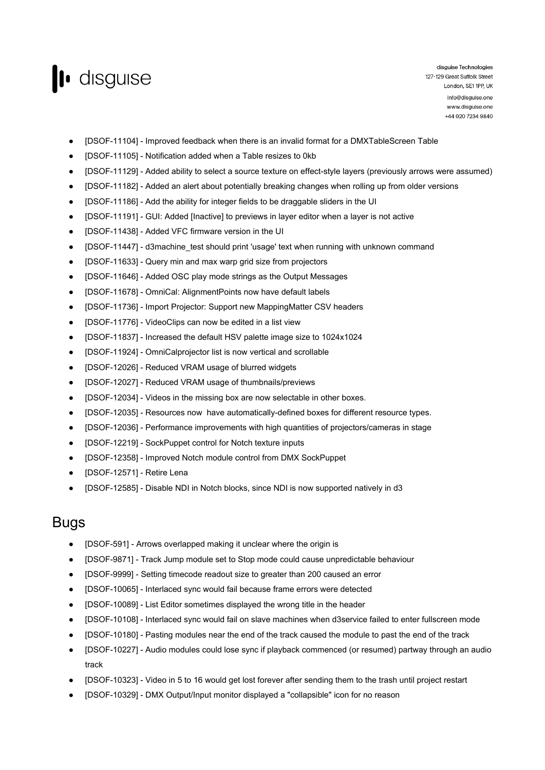

- [DSOF-11104] Improved feedback when there is an invalid format for a DMXTableScreen Table
- [DSOF-11105] Notification added when a Table resizes to 0kb
- [DSOF-11129] Added ability to select a source texture on effect-style layers (previously arrows were assumed)
- [DSOF-11182] Added an alert about potentially breaking changes when rolling up from older versions
- [DSOF-11186] Add the ability for integer fields to be draggable sliders in the UI
- [DSOF-11191] GUI: Added [Inactive] to previews in layer editor when a layer is not active
- [DSOF-11438] Added VFC firmware version in the UI
- [DSOF-11447] d3machine test should print 'usage' text when running with unknown command
- [DSOF-11633] Query min and max warp grid size from projectors
- [DSOF-11646] Added OSC play mode strings as the Output Messages
- [DSOF-11678] OmniCal: AlignmentPoints now have default labels
- [DSOF-11736] Import Projector: Support new MappingMatter CSV headers
- [DSOF-11776] VideoClips can now be edited in a list view
- [DSOF-11837] Increased the default HSV palette image size to 1024x1024
- [DSOF-11924] OmniCalprojector list is now vertical and scrollable
- [DSOF-12026] Reduced VRAM usage of blurred widgets
- [DSOF-12027] Reduced VRAM usage of thumbnails/previews
- [DSOF-12034] Videos in the missing box are now selectable in other boxes.
- [DSOF-12035] Resources now have automatically-defined boxes for different resource types.
- [DSOF-12036] Performance improvements with high quantities of projectors/cameras in stage
- [DSOF-12219] SockPuppet control for Notch texture inputs
- [DSOF-12358] Improved Notch module control from DMX SockPuppet
- [DSOF-12571] Retire Lena
- [DSOF-12585] Disable NDI in Notch blocks, since NDI is now supported natively in d3

### Bugs

- [DSOF-591] Arrows overlapped making it unclear where the origin is
- [DSOF-9871] Track Jump module set to Stop mode could cause unpredictable behaviour
- [DSOF-9999] Setting timecode readout size to greater than 200 caused an error
- [DSOF-10065] Interlaced sync would fail because frame errors were detected
- [DSOF-10089] List Editor sometimes displayed the wrong title in the header
- [DSOF-10108] Interlaced sync would fail on slave machines when d3service failed to enter fullscreen mode
- [DSOF-10180] Pasting modules near the end of the track caused the module to past the end of the track
- [DSOF-10227] Audio modules could lose sync if playback commenced (or resumed) partway through an audio track
- [DSOF-10323] Video in 5 to 16 would get lost forever after sending them to the trash until project restart
- [DSOF-10329] DMX Output/Input monitor displayed a "collapsible" icon for no reason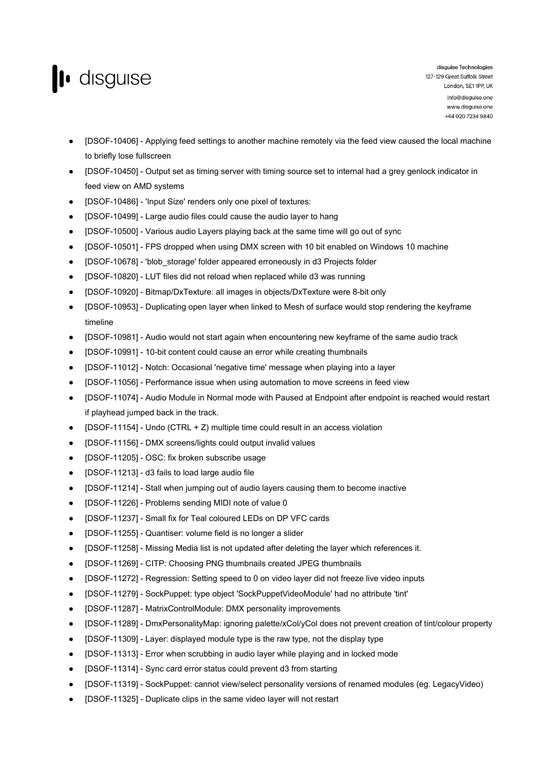

- [DSOF-10406] Applying feed settings to another machine remotely via the feed view caused the local machine to briefly lose fullscreen
- [DSOF-10450] Output set as timing server with timing source set to internal had a grey genlock indicator in feed view on AMD systems
- [DSOF-10486] 'Input Size' renders only one pixel of textures:
- [DSOF-10499] Large audio files could cause the audio layer to hang
- [DSOF-10500] Various audio Layers playing back at the same time will go out of sync
- [DSOF-10501] FPS dropped when using DMX screen with 10 bit enabled on Windows 10 machine
- [DSOF-10678] 'blob\_storage' folder appeared erroneously in d3 Projects folder
- [DSOF-10820] LUT files did not reload when replaced while d3 was running
- [DSOF-10920] Bitmap/DxTexture: all images in objects/DxTexture were 8-bit only
- [DSOF-10953] Duplicating open layer when linked to Mesh of surface would stop rendering the keyframe timeline
- [DSOF-10981] Audio would not start again when encountering new keyframe of the same audio track
- [DSOF-10991] 10-bit content could cause an error while creating thumbnails
- [DSOF-11012] Notch: Occasional 'negative time' message when playing into a layer
- [DSOF-11056] Performance issue when using automation to move screens in feed view
- [DSOF-11074] Audio Module in Normal mode with Paused at Endpoint after endpoint is reached would restart if playhead jumped back in the track.
- [DSOF-11154] Undo (CTRL + Z) multiple time could result in an access violation
- [DSOF-11156] DMX screens/lights could output invalid values
- [DSOF-11205] OSC: fix broken subscribe usage
- [DSOF-11213] d3 fails to load large audio file
- [DSOF-11214] Stall when jumping out of audio layers causing them to become inactive
- [DSOF-11226] Problems sending MIDI note of value 0
- [DSOF-11237] Small fix for Teal coloured LEDs on DP VFC cards
- [DSOF-11255] Quantiser: volume field is no longer a slider
- [DSOF-11258] Missing Media list is not updated after deleting the layer which references it.
- [DSOF-11269] CITP: Choosing PNG thumbnails created JPEG thumbnails
- [DSOF-11272] Regression: Setting speed to 0 on video layer did not freeze live video inputs
- [DSOF-11279] SockPuppet: type object 'SockPuppetVideoModule' had no attribute 'tint'
- [DSOF-11287] MatrixControlModule: DMX personality improvements
- [DSOF-11289] DmxPersonalityMap: ignoring palette/xCol/yCol does not prevent creation of tint/colour property
- [DSOF-11309] Layer: displayed module type is the raw type, not the display type
- [DSOF-11313] Error when scrubbing in audio layer while playing and in locked mode
- [DSOF-11314] Sync card error status could prevent d3 from starting
- [DSOF-11319] SockPuppet: cannot view/select personality versions of renamed modules (eg. LegacyVideo)
- [DSOF-11325] Duplicate clips in the same video layer will not restart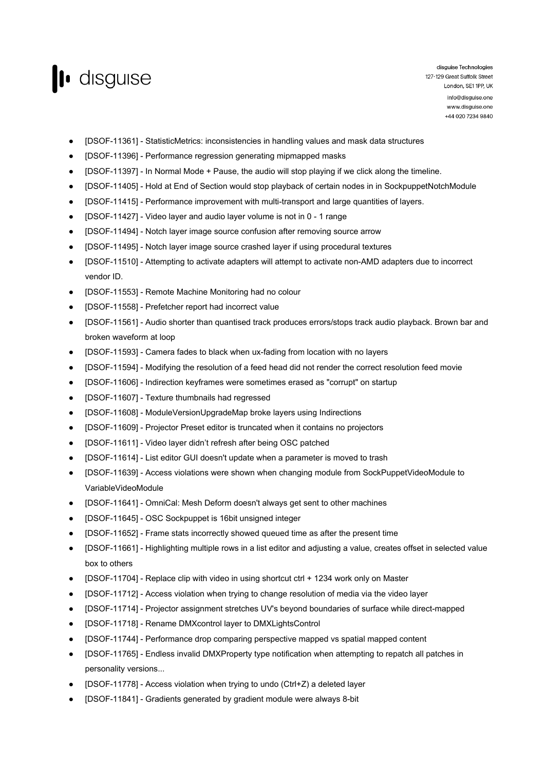

- [DSOF-11361] StatisticMetrics: inconsistencies in handling values and mask data structures
- [DSOF-11396] Performance regression generating mipmapped masks
- [DSOF-11397] In Normal Mode + Pause, the audio will stop playing if we click along the timeline.
- [DSOF-11405] Hold at End of Section would stop playback of certain nodes in in SockpuppetNotchModule
- [DSOF-11415] Performance improvement with multi-transport and large quantities of layers.
- [DSOF-11427] Video layer and audio layer volume is not in 0 1 range
- [DSOF-11494] Notch layer image source confusion after removing source arrow
- [DSOF-11495] Notch layer image source crashed layer if using procedural textures
- [DSOF-11510] Attempting to activate adapters will attempt to activate non-AMD adapters due to incorrect vendor ID.
- [DSOF-11553] Remote Machine Monitoring had no colour
- [DSOF-11558] Prefetcher report had incorrect value
- [DSOF-11561] Audio shorter than quantised track produces errors/stops track audio playback. Brown bar and broken waveform at loop
- [DSOF-11593] Camera fades to black when ux-fading from location with no layers
- [DSOF-11594] Modifying the resolution of a feed head did not render the correct resolution feed movie
- [DSOF-11606] Indirection keyframes were sometimes erased as "corrupt" on startup
- [DSOF-11607] Texture thumbnails had regressed
- [DSOF-11608] ModuleVersionUpgradeMap broke layers using Indirections
- [DSOF-11609] Projector Preset editor is truncated when it contains no projectors
- [DSOF-11611] Video layer didn't refresh after being OSC patched
- [DSOF-11614] List editor GUI doesn't update when a parameter is moved to trash
- [DSOF-11639] Access violations were shown when changing module from SockPuppetVideoModule to VariableVideoModule
- [DSOF-11641] OmniCal: Mesh Deform doesn't always get sent to other machines
- [DSOF-11645] OSC Sockpuppet is 16bit unsigned integer
- [DSOF-11652] Frame stats incorrectly showed queued time as after the present time
- [DSOF-11661] Highlighting multiple rows in a list editor and adjusting a value, creates offset in selected value box to others
- [DSOF-11704] Replace clip with video in using shortcut ctrl + 1234 work only on Master
- [DSOF-11712] Access violation when trying to change resolution of media via the video layer
- [DSOF-11714] Projector assignment stretches UV's beyond boundaries of surface while direct-mapped
- [DSOF-11718] Rename DMXcontrol layer to DMXLightsControl
- [DSOF-11744] Performance drop comparing perspective mapped vs spatial mapped content
- [DSOF-11765] Endless invalid DMXProperty type notification when attempting to repatch all patches in personality versions...
- [DSOF-11778] Access violation when trying to undo (Ctrl+Z) a deleted layer
- [DSOF-11841] Gradients generated by gradient module were always 8-bit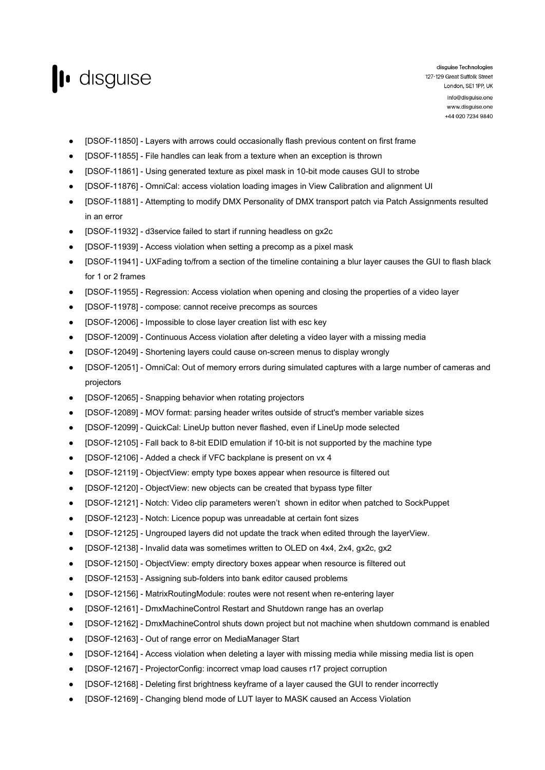

- [DSOF-11850] Layers with arrows could occasionally flash previous content on first frame
- [DSOF-11855] File handles can leak from a texture when an exception is thrown
- [DSOF-11861] Using generated texture as pixel mask in 10-bit mode causes GUI to strobe
- [DSOF-11876] OmniCal: access violation loading images in View Calibration and alignment UI
- [DSOF-11881] Attempting to modify DMX Personality of DMX transport patch via Patch Assignments resulted in an error
- [DSOF-11932] d3service failed to start if running headless on gx2c
- [DSOF-11939] Access violation when setting a precomp as a pixel mask
- [DSOF-11941] UXFading to/from a section of the timeline containing a blur layer causes the GUI to flash black for 1 or 2 frames
- [DSOF-11955] Regression: Access violation when opening and closing the properties of a video layer
- [DSOF-11978] compose: cannot receive precomps as sources
- [DSOF-12006] Impossible to close layer creation list with esc key
- [DSOF-12009] Continuous Access violation after deleting a video layer with a missing media
- [DSOF-12049] Shortening layers could cause on-screen menus to display wrongly
- [DSOF-12051] OmniCal: Out of memory errors during simulated captures with a large number of cameras and projectors
- [DSOF-12065] Snapping behavior when rotating projectors
- [DSOF-12089] MOV format: parsing header writes outside of struct's member variable sizes
- [DSOF-12099] QuickCal: LineUp button never flashed, even if LineUp mode selected
- [DSOF-12105] Fall back to 8-bit EDID emulation if 10-bit is not supported by the machine type
- [DSOF-12106] Added a check if VFC backplane is present on vx 4
- [DSOF-12119] ObjectView: empty type boxes appear when resource is filtered out
- [DSOF-12120] ObjectView: new objects can be created that bypass type filter
- [DSOF-12121] Notch: Video clip parameters weren't shown in editor when patched to SockPuppet
- [DSOF-12123] Notch: Licence popup was unreadable at certain font sizes
- [DSOF-12125] Ungrouped layers did not update the track when edited through the layerView.
- [DSOF-12138] Invalid data was sometimes written to OLED on 4x4, 2x4, gx2c, gx2
- [DSOF-12150] ObjectView: empty directory boxes appear when resource is filtered out
- [DSOF-12153] Assigning sub-folders into bank editor caused problems
- [DSOF-12156] MatrixRoutingModule: routes were not resent when re-entering layer
- [DSOF-12161] DmxMachineControl Restart and Shutdown range has an overlap
- [DSOF-12162] DmxMachineControl shuts down project but not machine when shutdown command is enabled
- [DSOF-12163] Out of range error on MediaManager Start
- [DSOF-12164] Access violation when deleting a layer with missing media while missing media list is open
- [DSOF-12167] ProjectorConfig: incorrect vmap load causes r17 project corruption
- [DSOF-12168] Deleting first brightness keyframe of a layer caused the GUI to render incorrectly
- [DSOF-12169] Changing blend mode of LUT layer to MASK caused an Access Violation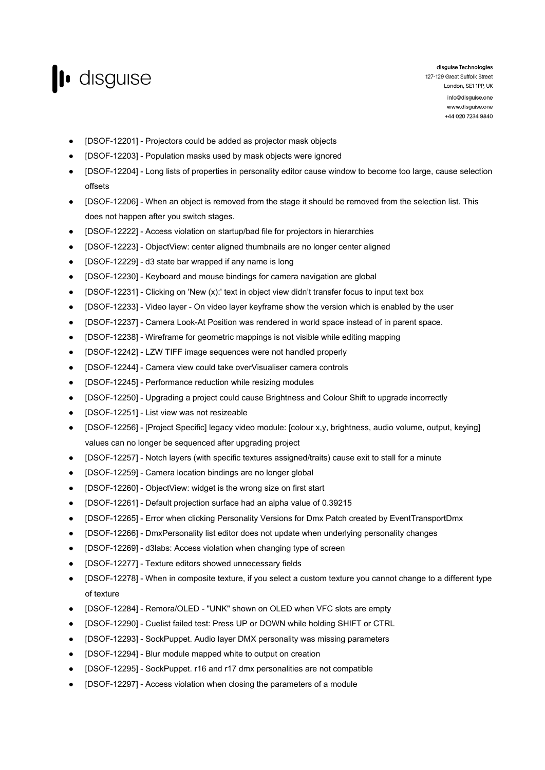

- [DSOF-12201] Projectors could be added as projector mask objects
- [DSOF-12203] Population masks used by mask objects were ignored
- [DSOF-12204] Long lists of properties in personality editor cause window to become too large, cause selection offsets
- [DSOF-12206] When an object is removed from the stage it should be removed from the selection list. This does not happen after you switch stages.
- [DSOF-12222] Access violation on startup/bad file for projectors in hierarchies
- [DSOF-12223] ObjectView: center aligned thumbnails are no longer center aligned
- [DSOF-12229] d3 state bar wrapped if any name is long
- [DSOF-12230] Keyboard and mouse bindings for camera navigation are global
- [DSOF-12231] Clicking on 'New (x):' text in object view didn't transfer focus to input text box
- [DSOF-12233] Video layer On video layer keyframe show the version which is enabled by the user
- [DSOF-12237] Camera Look-At Position was rendered in world space instead of in parent space.
- [DSOF-12238] Wireframe for geometric mappings is not visible while editing mapping
- [DSOF-12242] LZW TIFF image sequences were not handled properly
- [DSOF-12244] Camera view could take overVisualiser camera controls
- [DSOF-12245] Performance reduction while resizing modules
- [DSOF-12250] Upgrading a project could cause Brightness and Colour Shift to upgrade incorrectly
- [DSOF-12251] List view was not resizeable
- [DSOF-12256] [Project Specific] legacy video module: [colour x,y, brightness, audio volume, output, keying] values can no longer be sequenced after upgrading project
- [DSOF-12257] Notch layers (with specific textures assigned/traits) cause exit to stall for a minute
- [DSOF-12259] Camera location bindings are no longer global
- [DSOF-12260] ObjectView: widget is the wrong size on first start
- [DSOF-12261] Default projection surface had an alpha value of 0.39215
- [DSOF-12265] Error when clicking Personality Versions for Dmx Patch created by EventTransportDmx
- [DSOF-12266] DmxPersonality list editor does not update when underlying personality changes
- [DSOF-12269] d3labs: Access violation when changing type of screen
- [DSOF-12277] Texture editors showed unnecessary fields
- [DSOF-12278] When in composite texture, if you select a custom texture you cannot change to a different type of texture
- [DSOF-12284] Remora/OLED "UNK" shown on OLED when VFC slots are empty
- [DSOF-12290] Cuelist failed test: Press UP or DOWN while holding SHIFT or CTRL
- [DSOF-12293] SockPuppet. Audio layer DMX personality was missing parameters
- [DSOF-12294] Blur module mapped white to output on creation
- [DSOF-12295] SockPuppet. r16 and r17 dmx personalities are not compatible
- [DSOF-12297] Access violation when closing the parameters of a module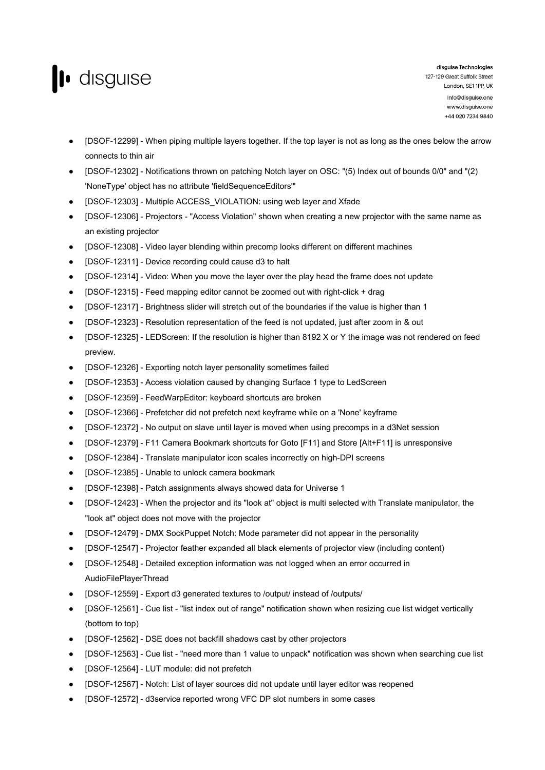

- [DSOF-12299] When piping multiple layers together. If the top layer is not as long as the ones below the arrow connects to thin air
- [DSOF-12302] Notifications thrown on patching Notch layer on OSC: "(5) Index out of bounds 0/0" and "(2) 'NoneType' object has no attribute 'fieldSequenceEditors'"
- [DSOF-12303] Multiple ACCESS\_VIOLATION: using web layer and Xfade
- [DSOF-12306] Projectors "Access Violation" shown when creating a new projector with the same name as an existing projector
- [DSOF-12308] Video layer blending within precomp looks different on different machines
- [DSOF-12311] Device recording could cause d3 to halt
- [DSOF-12314] Video: When you move the layer over the play head the frame does not update
- [DSOF-12315] Feed mapping editor cannot be zoomed out with right-click + drag
- [DSOF-12317] Brightness slider will stretch out of the boundaries if the value is higher than 1
- [DSOF-12323] Resolution representation of the feed is not updated, just after zoom in & out
- [DSOF-12325] LEDScreen: If the resolution is higher than 8192 X or Y the image was not rendered on feed preview.
- [DSOF-12326] Exporting notch layer personality sometimes failed
- [DSOF-12353] Access violation caused by changing Surface 1 type to LedScreen
- [DSOF-12359] FeedWarpEditor: keyboard shortcuts are broken
- [DSOF-12366] Prefetcher did not prefetch next keyframe while on a 'None' keyframe
- [DSOF-12372] No output on slave until layer is moved when using precomps in a d3Net session
- [DSOF-12379] F11 Camera Bookmark shortcuts for Goto [F11] and Store [Alt+F11] is unresponsive
- [DSOF-12384] Translate manipulator icon scales incorrectly on high-DPI screens
- [DSOF-12385] Unable to unlock camera bookmark
- [DSOF-12398] Patch assignments always showed data for Universe 1
- [DSOF-12423] When the projector and its "look at" object is multi selected with Translate manipulator, the "look at" object does not move with the projector
- [DSOF-12479] DMX SockPuppet Notch: Mode parameter did not appear in the personality
- [DSOF-12547] Projector feather expanded all black elements of projector view (including content)
- [DSOF-12548] Detailed exception information was not logged when an error occurred in AudioFilePlayerThread
- [DSOF-12559] Export d3 generated textures to /output/ instead of /outputs/
- [DSOF-12561] Cue list "list index out of range" notification shown when resizing cue list widget vertically (bottom to top)
- [DSOF-12562] DSE does not backfill shadows cast by other projectors
- [DSOF-12563] Cue list "need more than 1 value to unpack" notification was shown when searching cue list
- [DSOF-12564] LUT module: did not prefetch
- [DSOF-12567] Notch: List of layer sources did not update until layer editor was reopened
- [DSOF-12572] d3service reported wrong VFC DP slot numbers in some cases